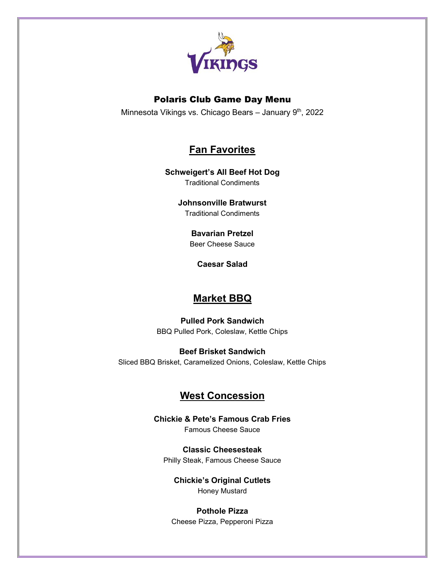

### Polaris Club Game Day Menu

Minnesota Vikings vs. Chicago Bears - January 9<sup>th</sup>, 2022

# **Fan Favorites**

#### **Schweigert's All Beef Hot Dog** Traditional Condiments

**Johnsonville Bratwurst** Traditional Condiments

#### **Bavarian Pretzel** Beer Cheese Sauce

**Caesar Salad**

## **Market BBQ**

**Pulled Pork Sandwich** BBQ Pulled Pork, Coleslaw, Kettle Chips

**Beef Brisket Sandwich** Sliced BBQ Brisket, Caramelized Onions, Coleslaw, Kettle Chips

# **West Concession**

**Chickie & Pete's Famous Crab Fries** Famous Cheese Sauce

**Classic Cheesesteak** Philly Steak, Famous Cheese Sauce

**Chickie's Original Cutlets**  Honey Mustard

**Pothole Pizza** Cheese Pizza, Pepperoni Pizza